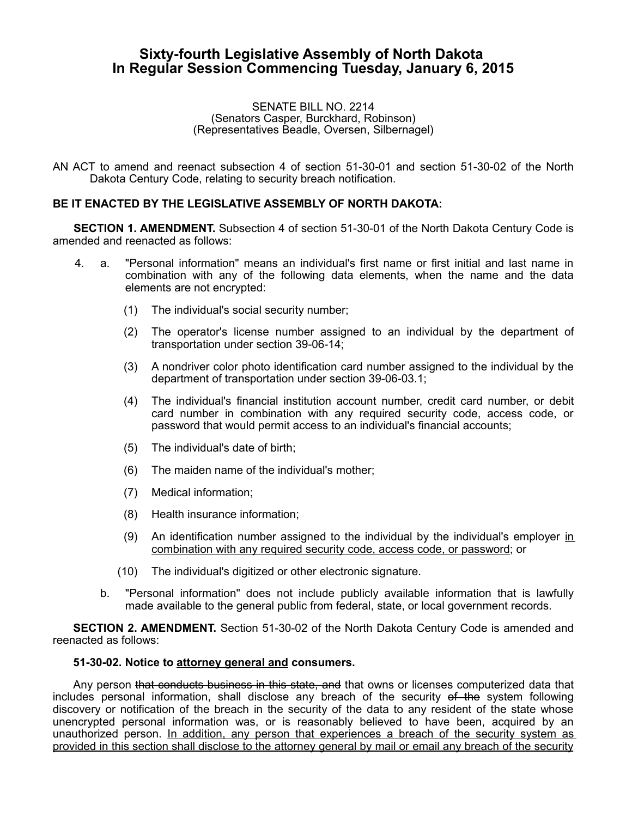## **Sixty-fourth Legislative Assembly of North Dakota In Regular Session Commencing Tuesday, January 6, 2015**

## SENATE BILL NO. 2214 (Senators Casper, Burckhard, Robinson) (Representatives Beadle, Oversen, Silbernagel)

AN ACT to amend and reenact subsection 4 of section 51-30-01 and section 51-30-02 of the North Dakota Century Code, relating to security breach notification.

## **BE IT ENACTED BY THE LEGISLATIVE ASSEMBLY OF NORTH DAKOTA:**

**SECTION 1. AMENDMENT.** Subsection 4 of section 51-30-01 of the North Dakota Century Code is amended and reenacted as follows:

- 4. a. "Personal information" means an individual's first name or first initial and last name in combination with any of the following data elements, when the name and the data elements are not encrypted:
	- (1) The individual's social security number;
	- (2) The operator's license number assigned to an individual by the department of transportation under section 39-06-14;
	- (3) A nondriver color photo identification card number assigned to the individual by the department of transportation under section 39-06-03.1;
	- (4) The individual's financial institution account number, credit card number, or debit card number in combination with any required security code, access code, or password that would permit access to an individual's financial accounts;
	- (5) The individual's date of birth;
	- (6) The maiden name of the individual's mother;
	- (7) Medical information;
	- (8) Health insurance information;
	- (9) An identification number assigned to the individual by the individual's employer in combination with any required security code, access code, or password; or
	- (10) The individual's digitized or other electronic signature.
	- b. "Personal information" does not include publicly available information that is lawfully made available to the general public from federal, state, or local government records.

**SECTION 2. AMENDMENT.** Section 51-30-02 of the North Dakota Century Code is amended and reenacted as follows:

## **51-30-02. Notice to attorney general and consumers.**

Any person that conducts business in this state, and that owns or licenses computerized data that includes personal information, shall disclose any breach of the security of the system following discovery or notification of the breach in the security of the data to any resident of the state whose unencrypted personal information was, or is reasonably believed to have been, acquired by an unauthorized person. In addition, any person that experiences a breach of the security system as provided in this section shall disclose to the attorney general by mail or email any breach of the security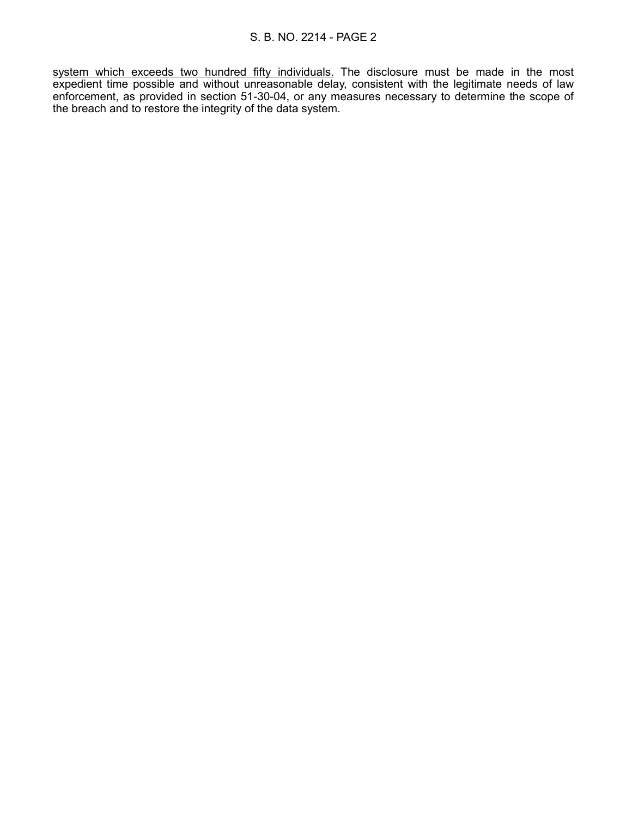system which exceeds two hundred fifty individuals. The disclosure must be made in the most expedient time possible and without unreasonable delay, consistent with the legitimate needs of law enforcement, as provided in section 51-30-04, or any measures necessary to determine the scope of the breach and to restore the integrity of the data system.